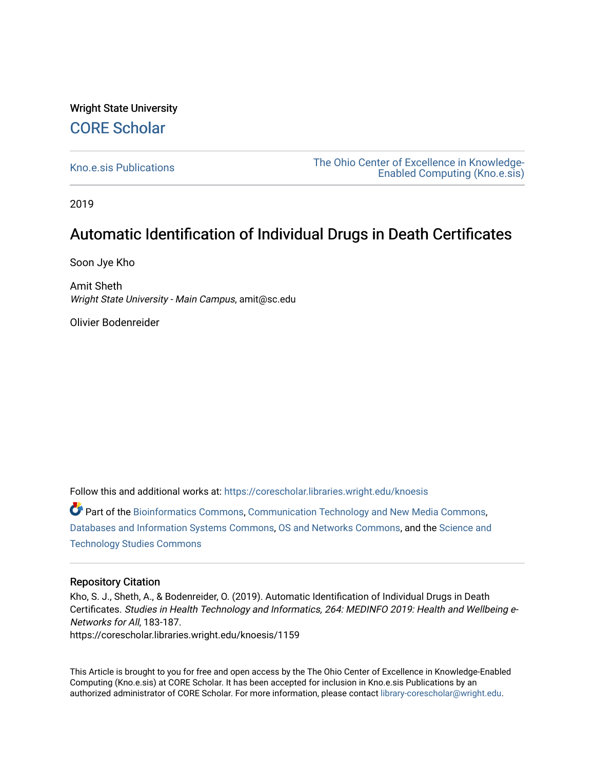# Wright State University [CORE Scholar](https://corescholar.libraries.wright.edu/)

[Kno.e.sis Publications](https://corescholar.libraries.wright.edu/knoesis) [The Ohio Center of Excellence in Knowledge-](https://corescholar.libraries.wright.edu/knoesis_comm)[Enabled Computing \(Kno.e.sis\)](https://corescholar.libraries.wright.edu/knoesis_comm) 

2019

# Automatic Identification of Individual Drugs in Death Certificates

Soon Jye Kho

Amit Sheth Wright State University - Main Campus, amit@sc.edu

Olivier Bodenreider

Follow this and additional works at: [https://corescholar.libraries.wright.edu/knoesis](https://corescholar.libraries.wright.edu/knoesis?utm_source=corescholar.libraries.wright.edu%2Fknoesis%2F1159&utm_medium=PDF&utm_campaign=PDFCoverPages) 

Part of the [Bioinformatics Commons,](http://network.bepress.com/hgg/discipline/110?utm_source=corescholar.libraries.wright.edu%2Fknoesis%2F1159&utm_medium=PDF&utm_campaign=PDFCoverPages) [Communication Technology and New Media Commons,](http://network.bepress.com/hgg/discipline/327?utm_source=corescholar.libraries.wright.edu%2Fknoesis%2F1159&utm_medium=PDF&utm_campaign=PDFCoverPages) [Databases and Information Systems Commons](http://network.bepress.com/hgg/discipline/145?utm_source=corescholar.libraries.wright.edu%2Fknoesis%2F1159&utm_medium=PDF&utm_campaign=PDFCoverPages), [OS and Networks Commons](http://network.bepress.com/hgg/discipline/149?utm_source=corescholar.libraries.wright.edu%2Fknoesis%2F1159&utm_medium=PDF&utm_campaign=PDFCoverPages), and the [Science and](http://network.bepress.com/hgg/discipline/435?utm_source=corescholar.libraries.wright.edu%2Fknoesis%2F1159&utm_medium=PDF&utm_campaign=PDFCoverPages) [Technology Studies Commons](http://network.bepress.com/hgg/discipline/435?utm_source=corescholar.libraries.wright.edu%2Fknoesis%2F1159&utm_medium=PDF&utm_campaign=PDFCoverPages) 

# Repository Citation

Kho, S. J., Sheth, A., & Bodenreider, O. (2019). Automatic Identification of Individual Drugs in Death Certificates. Studies in Health Technology and Informatics, 264: MEDINFO 2019: Health and Wellbeing e-Networks for All, 183-187.

https://corescholar.libraries.wright.edu/knoesis/1159

This Article is brought to you for free and open access by the The Ohio Center of Excellence in Knowledge-Enabled Computing (Kno.e.sis) at CORE Scholar. It has been accepted for inclusion in Kno.e.sis Publications by an authorized administrator of CORE Scholar. For more information, please contact [library-corescholar@wright.edu](mailto:library-corescholar@wright.edu).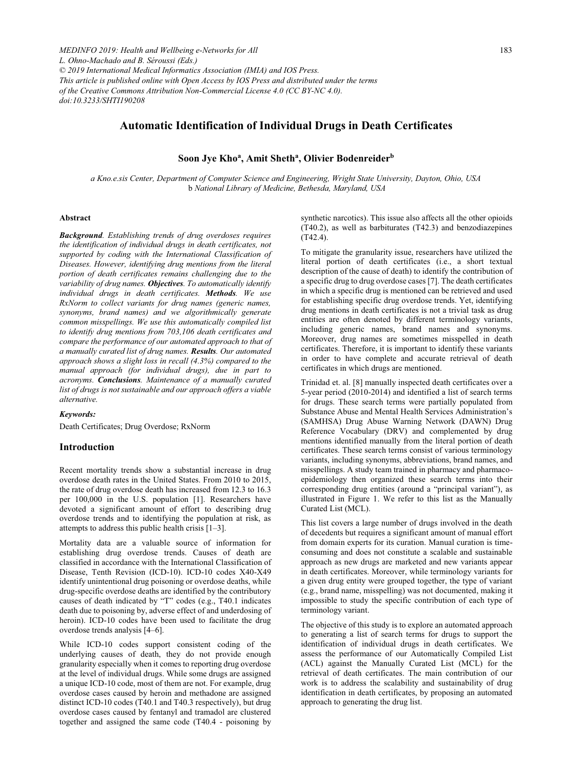# **Automatic Identification of Individual Drugs in Death Certificates**

# Soon Jye Kho<sup>a</sup>, Amit Sheth<sup>a</sup>, Olivier Bodenreider<sup>b</sup>

*a Kno.e.sis Center, Department of Computer Science and Engineering, Wright State University, Dayton, Ohio, USA*  b *National Library of Medicine, Bethesda, Maryland, USA*

# **Abstract**

*Background. Establishing trends of drug overdoses requires the identification of individual drugs in death certificates, not supported by coding with the International Classification of Diseases. However, identifying drug mentions from the literal portion of death certificates remains challenging due to the variability of drug names. Objectives. To automatically identify individual drugs in death certificates. Methods. We use RxNorm to collect variants for drug names (generic names, synonyms, brand names) and we algorithmically generate common misspellings. We use this automatically compiled list to identify drug mentions from 703,106 death certificates and compare the performance of our automated approach to that of a manually curated list of drug names. Results. Our automated approach shows a slight loss in recall (4.3%) compared to the manual approach (for individual drugs), due in part to acronyms. Conclusions. Maintenance of a manually curated list of drugs is not sustainable and our approach offers a viable alternative.* 

# *Keywords:*

Death Certificates; Drug Overdose; RxNorm

## **Introduction**

Recent mortality trends show a substantial increase in drug overdose death rates in the United States. From 2010 to 2015, the rate of drug overdose death has increased from 12.3 to 16.3 per 100,000 in the U.S. population [1]. Researchers have devoted a significant amount of effort to describing drug overdose trends and to identifying the population at risk, as attempts to address this public health crisis [1–3].

Mortality data are a valuable source of information for establishing drug overdose trends. Causes of death are classified in accordance with the International Classification of Disease, Tenth Revision (ICD-10). ICD-10 codes X40-X49 identify unintentional drug poisoning or overdose deaths, while drug-specific overdose deaths are identified by the contributory causes of death indicated by "T" codes (e.g., T40.1 indicates death due to poisoning by, adverse effect of and underdosing of heroin). ICD-10 codes have been used to facilitate the drug overdose trends analysis [4–6].

While ICD-10 codes support consistent coding of the underlying causes of death, they do not provide enough granularity especially when it comes to reporting drug overdose at the level of individual drugs. While some drugs are assigned a unique ICD-10 code, most of them are not. For example, drug overdose cases caused by heroin and methadone are assigned distinct ICD-10 codes (T40.1 and T40.3 respectively), but drug overdose cases caused by fentanyl and tramadol are clustered together and assigned the same code (T40.4 - poisoning by synthetic narcotics). This issue also affects all the other opioids (T40.2), as well as barbiturates (T42.3) and benzodiazepines (T42.4).

To mitigate the granularity issue, researchers have utilized the literal portion of death certificates (i.e., a short textual description of the cause of death) to identify the contribution of a specific drug to drug overdose cases [7]. The death certificates in which a specific drug is mentioned can be retrieved and used for establishing specific drug overdose trends. Yet, identifying drug mentions in death certificates is not a trivial task as drug entities are often denoted by different terminology variants, including generic names, brand names and synonyms. Moreover, drug names are sometimes misspelled in death certificates. Therefore, it is important to identify these variants in order to have complete and accurate retrieval of death certificates in which drugs are mentioned.

Trinidad et. al. [8] manually inspected death certificates over a 5-year period (2010-2014) and identified a list of search terms for drugs. These search terms were partially populated from Substance Abuse and Mental Health Services Administration's (SAMHSA) Drug Abuse Warning Network (DAWN) Drug Reference Vocabulary (DRV) and complemented by drug mentions identified manually from the literal portion of death certificates. These search terms consist of various terminology variants, including synonyms, abbreviations, brand names, and misspellings. A study team trained in pharmacy and pharmacoepidemiology then organized these search terms into their corresponding drug entities (around a "principal variant"), as illustrated in Figure 1. We refer to this list as the Manually Curated List (MCL).

This list covers a large number of drugs involved in the death of decedents but requires a significant amount of manual effort from domain experts for its curation. Manual curation is timeconsuming and does not constitute a scalable and sustainable approach as new drugs are marketed and new variants appear in death certificates. Moreover, while terminology variants for a given drug entity were grouped together, the type of variant (e.g., brand name, misspelling) was not documented, making it impossible to study the specific contribution of each type of terminology variant.

The objective of this study is to explore an automated approach to generating a list of search terms for drugs to support the identification of individual drugs in death certificates. We assess the performance of our Automatically Compiled List (ACL) against the Manually Curated List (MCL) for the retrieval of death certificates. The main contribution of our work is to address the scalability and sustainability of drug identification in death certificates, by proposing an automated approach to generating the drug list.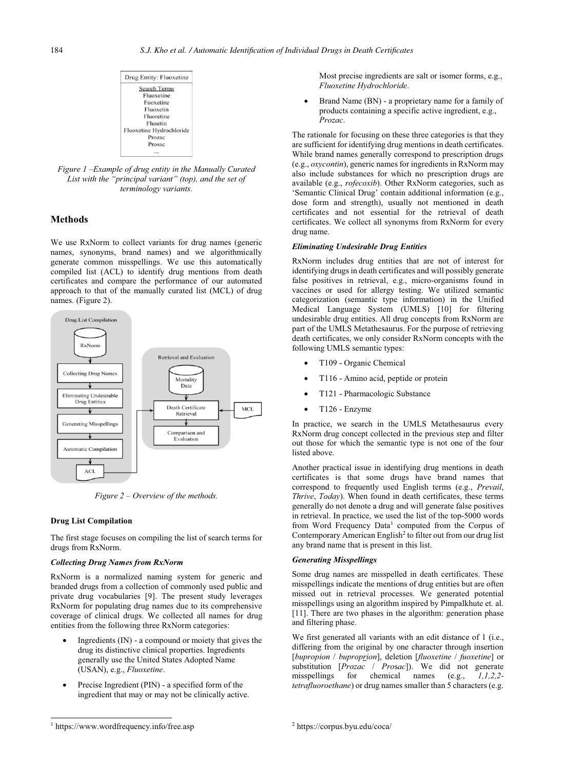

*Figure 1 –Example of drug entity in the Manually Curated List with the "principal variant" (top), and the set of terminology variants.* 

# **Methods**

We use RxNorm to collect variants for drug names (generic names, synonyms, brand names) and we algorithmically generate common misspellings. We use this automatically compiled list (ACL) to identify drug mentions from death certificates and compare the performance of our automated approach to that of the manually curated list (MCL) of drug names. (Figure 2).



*Figure 2 – Overview of the methods.* 

#### **Drug List Compilation**

The first stage focuses on compiling the list of search terms for drugs from RxNorm.

# *Collecting Drug Names from RxNorm*

RxNorm is a normalized naming system for generic and branded drugs from a collection of commonly used public and private drug vocabularies [9]. The present study leverages RxNorm for populating drug names due to its comprehensive coverage of clinical drugs. We collected all names for drug entities from the following three RxNorm categories:

- - Ingredients (IN) - a compound or moiety that gives the drug its distinctive clinical properties. Ingredients generally use the United States Adopted Name (USAN), e.g., *Fluoxetine*.
- - Precise Ingredient (PIN) - a specified form of the ingredient that may or may not be clinically active.

Most precise ingredients are salt or isomer forms, e.g., *Fluoxetine Hydrochloride*.

- Brand Name (BN) - a proprietary name for a family of products containing a specific active ingredient, e.g., *Prozac*.

The rationale for focusing on these three categories is that they are sufficient for identifying drug mentions in death certificates. While brand names generally correspond to prescription drugs (e.g., *oxycontin*), generic names for ingredients in RxNorm may also include substances for which no prescription drugs are available (e.g., *rofecoxib*). Other RxNorm categories, such as 'Semantic Clinical Drug' contain additional information (e.g., dose form and strength), usually not mentioned in death certificates and not essential for the retrieval of death certificates. We collect all synonyms from RxNorm for every drug name.

#### *Eliminating Undesirable Drug Entities*

RxNorm includes drug entities that are not of interest for identifying drugs in death certificates and will possibly generate false positives in retrieval, e.g., micro-organisms found in vaccines or used for allergy testing. We utilized semantic categorization (semantic type information) in the Unified Medical Language System (UMLS) [10] for filtering undesirable drug entities. All drug concepts from RxNorm are part of the UMLS Metathesaurus. For the purpose of retrieving death certificates, we only consider RxNorm concepts with the following UMLS semantic types:

- -T109 - Organic Chemical
- -T116 - Amino acid, peptide or protein
- -T121 - Pharmacologic Substance
- -T126 - Enzyme

In practice, we search in the UMLS Metathesaurus every RxNorm drug concept collected in the previous step and filter out those for which the semantic type is not one of the four listed above.

Another practical issue in identifying drug mentions in death certificates is that some drugs have brand names that correspond to frequently used English terms (e.g., *Prevail*, *Thrive*, *Today*). When found in death certificates, these terms generally do not denote a drug and will generate false positives in retrieval. In practice, we used the list of the top-5000 words from Word Frequency Data<sup>1</sup> computed from the Corpus of Contemporary American English<sup>2</sup> to filter out from our drug list any brand name that is present in this list.

#### *Generating Misspellings*

Some drug names are misspelled in death certificates. These misspellings indicate the mentions of drug entities but are often missed out in retrieval processes. We generated potential misspellings using an algorithm inspired by Pimpalkhute et. al. [11]. There are two phases in the algorithm: generation phase and filtering phase.

We first generated all variants with an edit distance of 1 (i.e., differing from the original by one character through insertion [*bupropion* / *buproprion*], deletion [*fluoxetine* / *fuoxetine*] or substitution [*Prozac* / *Pro*s*ac*]). We did not generate misspellings for chemical names (e.g., *1,1,2,2 tetrafluoroethane*) or drug names smaller than 5 characters (e.g.

 $\overline{a}$ 

<sup>1</sup> https://www.wordfrequency.info/free.asp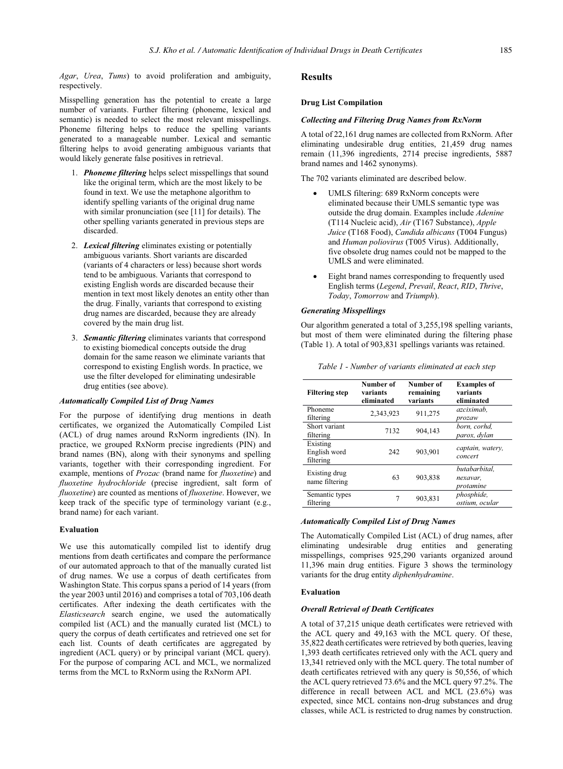*Agar*, *Urea*, *Tums*) to avoid proliferation and ambiguity, respectively.

Misspelling generation has the potential to create a large number of variants. Further filtering (phoneme, lexical and semantic) is needed to select the most relevant misspellings. Phoneme filtering helps to reduce the spelling variants generated to a manageable number. Lexical and semantic filtering helps to avoid generating ambiguous variants that would likely generate false positives in retrieval.

- 1. *Phoneme filtering* helps select misspellings that sound like the original term, which are the most likely to be found in text. We use the metaphone algorithm to identify spelling variants of the original drug name with similar pronunciation (see [11] for details). The other spelling variants generated in previous steps are discarded.
- 2. *Lexical filtering* eliminates existing or potentially ambiguous variants. Short variants are discarded (variants of 4 characters or less) because short words tend to be ambiguous. Variants that correspond to existing English words are discarded because their mention in text most likely denotes an entity other than the drug. Finally, variants that correspond to existing drug names are discarded, because they are already covered by the main drug list.
- 3. *Semantic filtering* eliminates variants that correspond to existing biomedical concepts outside the drug domain for the same reason we eliminate variants that correspond to existing English words. In practice, we use the filter developed for eliminating undesirable drug entities (see above).

# *Automatically Compiled List of Drug Names*

For the purpose of identifying drug mentions in death certificates, we organized the Automatically Compiled List (ACL) of drug names around RxNorm ingredients (IN). In practice, we grouped RxNorm precise ingredients (PIN) and brand names (BN), along with their synonyms and spelling variants, together with their corresponding ingredient. For example, mentions of *Prozac* (brand name for *fluoxetine*) and *fluoxetine hydrochloride* (precise ingredient, salt form of *fluoxetine*) are counted as mentions of *fluoxetine*. However, we keep track of the specific type of terminology variant (e.g., brand name) for each variant.

# **Evaluation**

We use this automatically compiled list to identify drug mentions from death certificates and compare the performance of our automated approach to that of the manually curated list of drug names. We use a corpus of death certificates from Washington State. This corpus spans a period of 14 years (from the year 2003 until 2016) and comprises a total of 703,106 death certificates. After indexing the death certificates with the *Elasticsearch* search engine, we used the automatically compiled list (ACL) and the manually curated list (MCL) to query the corpus of death certificates and retrieved one set for each list. Counts of death certificates are aggregated by ingredient (ACL query) or by principal variant (MCL query). For the purpose of comparing ACL and MCL, we normalized terms from the MCL to RxNorm using the RxNorm API.

# **Results**

#### **Drug List Compilation**

#### *Collecting and Filtering Drug Names from RxNorm*

A total of 22,161 drug names are collected from RxNorm. After eliminating undesirable drug entities, 21,459 drug names remain (11,396 ingredients, 2714 precise ingredients, 5887 brand names and 1462 synonyms).

The 702 variants eliminated are described below.

- - UMLS filtering: 689 RxNorm concepts were eliminated because their UMLS semantic type was outside the drug domain. Examples include *Adenine* (T114 Nucleic acid), *Air* (T167 Substance), *Apple Juice* (T168 Food), *Candida albicans* (T004 Fungus) and *Human poliovirus* (T005 Virus). Additionally, five obsolete drug names could not be mapped to the UMLS and were eliminated.
- - Eight brand names corresponding to frequently used English terms (*Legend*, *Prevail*, *React*, *RID*, *Thrive*, *Today*, *Tomorrow* and *Triumph*).

# *Generating Misspellings*

Our algorithm generated a total of 3,255,198 spelling variants, but most of them were eliminated during the filtering phase (Table 1). A total of 903,831 spellings variants was retained.

| <b>Filtering step</b>                 | Number of<br>variants<br>eliminated | Number of<br>remaining<br>variants | <b>Examples of</b><br>variants<br>eliminated |
|---------------------------------------|-------------------------------------|------------------------------------|----------------------------------------------|
| Phoneme<br>filtering                  | 2.343.923                           | 911.275                            | azciximab.<br>prozaw                         |
| Short variant<br>filtering            | 7132                                | 904.143                            | born, corhd.<br>parox, dylan                 |
| Existing<br>English word<br>filtering | 242                                 | 903.901                            | captain, watery,<br>concert                  |
| Existing drug<br>name filtering       | 63                                  | 903.838                            | butabarbital.<br>nexavar,<br>protamine       |
| Semantic types<br>filtering           | 7                                   | 903.831                            | phosphide.<br>ostium, ocular                 |

*Table 1 - Number of variants eliminated at each step*

## *Automatically Compiled List of Drug Names*

The Automatically Compiled List (ACL) of drug names, after eliminating undesirable drug entities and generating misspellings, comprises 925,290 variants organized around 11,396 main drug entities. Figure 3 shows the terminology variants for the drug entity *diphenhydramine*.

## **Evaluation**

#### *Overall Retrieval of Death Certificates*

A total of 37,215 unique death certificates were retrieved with the ACL query and 49,163 with the MCL query. Of these, 35,822 death certificates were retrieved by both queries, leaving 1,393 death certificates retrieved only with the ACL query and 13,341 retrieved only with the MCL query. The total number of death certificates retrieved with any query is 50,556, of which the ACL query retrieved 73.6% and the MCL query 97.2%. The difference in recall between ACL and MCL (23.6%) was expected, since MCL contains non-drug substances and drug classes, while ACL is restricted to drug names by construction.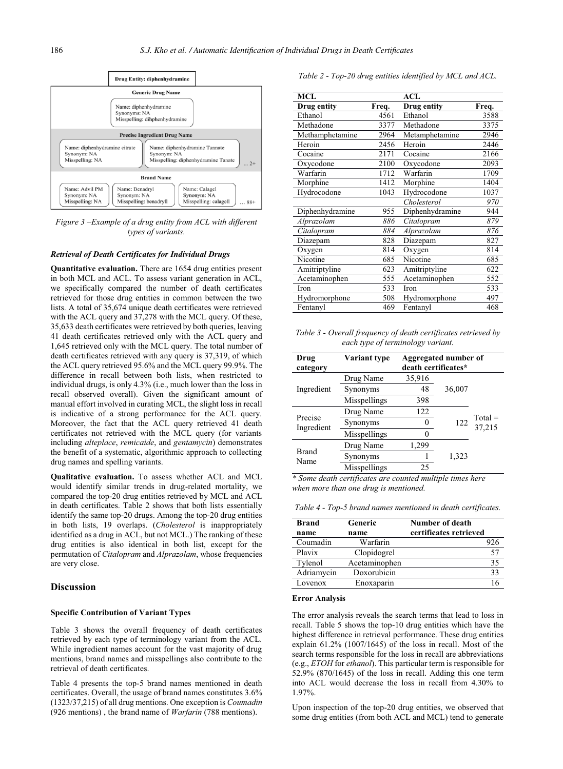

*Figure 3 –Example of a drug entity from ACL with different types of variants.* 

#### *Retrieval of Death Certificates for Individual Drugs*

**Quantitative evaluation.** There are 1654 drug entities present in both MCL and ACL. To assess variant generation in ACL, we specifically compared the number of death certificates retrieved for those drug entities in common between the two lists. A total of 35,674 unique death certificates were retrieved with the ACL query and 37,278 with the MCL query. Of these, 35,633 death certificates were retrieved by both queries, leaving 41 death certificates retrieved only with the ACL query and 1,645 retrieved only with the MCL query. The total number of death certificates retrieved with any query is 37,319, of which the ACL query retrieved 95.6% and the MCL query 99.9%. The difference in recall between both lists, when restricted to individual drugs, is only 4.3% (i.e., much lower than the loss in recall observed overall). Given the significant amount of manual effort involved in curating MCL, the slight loss in recall is indicative of a strong performance for the ACL query. Moreover, the fact that the ACL query retrieved 41 death certificates not retrieved with the MCL query (for variants including *alteplace*, *remicaide*, and *gentamycin*) demonstrates the benefit of a systematic, algorithmic approach to collecting drug names and spelling variants.

**Qualitative evaluation.** To assess whether ACL and MCL would identify similar trends in drug-related mortality, we compared the top-20 drug entities retrieved by MCL and ACL in death certificates. Table 2 shows that both lists essentially identify the same top-20 drugs. Among the top-20 drug entities in both lists, 19 overlaps. (*Cholesterol* is inappropriately identified as a drug in ACL, but not MCL.) The ranking of these drug entities is also identical in both list, except for the permutation of *Citalopram* and *Alprazolam*, whose frequencies are very close.

## **Discussion**

#### **Specific Contribution of Variant Types**

Table 3 shows the overall frequency of death certificates retrieved by each type of terminology variant from the ACL. While ingredient names account for the vast majority of drug mentions, brand names and misspellings also contribute to the retrieval of death certificates.

Table 4 presents the top-5 brand names mentioned in death certificates. Overall, the usage of brand names constitutes 3.6% (1323/37,215) of all drug mentions. One exception is *Coumadin*  (926 mentions) , the brand name of *Warfarin* (788 mentions).

*Table 2 - Top-20 drug entities identified by MCL and ACL.*

| <b>MCL</b>      |       | <b>ACL</b>      |       |
|-----------------|-------|-----------------|-------|
| Drug entity     | Freq. | Drug entity     | Freq. |
| Ethanol         | 4561  | Ethanol         | 3588  |
| Methadone       | 3377  | Methadone       | 3375  |
| Methamphetamine | 2964  | Metamphetamine  | 2946  |
| Heroin          | 2456  | Heroin          | 2446  |
| Cocaine         | 2171  | Cocaine         | 2166  |
| Oxycodone       | 2100  | Oxycodone       | 2093  |
| Warfarin        | 1712  | Warfarin        | 1709  |
| Morphine        | 1412  | Morphine        | 1404  |
| Hydrocodone     | 1043  | Hydrocodone     | 1037  |
|                 |       | Cholesterol     | 970   |
| Diphenhydramine | 955   | Diphenhydramine | 944   |
| Alprazolam      | 886   | Citalopram      | 879   |
| Citalopram      | 884   | Alprazolam      | 876   |
| Diazepam        | 828   | Diazepam        | 827   |
| Oxygen          | 814   | Oxygen          | 814   |
| Nicotine        | 685   | Nicotine        | 685   |
| Amitriptyline   | 623   | Amitriptyline   | 622   |
| Acetaminophen   | 555   | Acetaminophen   | 552   |
| Iron            | 533   | Iron            | 533   |
| Hydromorphone   | 508   | Hydromorphone   | 497   |
| Fentanyl        | 469   | Fentanyl        | 468   |
|                 |       |                 |       |

*Table 3 - Overall frequency of death certificates retrieved by each type of terminology variant.*

| Drug<br>category      | Variant type | Aggregated number of<br>death certificates* |        |                     |
|-----------------------|--------------|---------------------------------------------|--------|---------------------|
| Ingredient            | Drug Name    | 35,916                                      |        |                     |
|                       | Synonyms     | 48                                          | 36,007 |                     |
|                       | Misspellings | 398                                         |        |                     |
| Precise<br>Ingredient | Drug Name    | 122                                         |        |                     |
|                       | Synonyms     | 0                                           | 122    | $Total =$<br>37,215 |
|                       | Misspellings |                                             |        |                     |
| <b>Brand</b><br>Name  | Drug Name    | 1,299                                       |        |                     |
|                       | Synonyms     |                                             | 1,323  |                     |
|                       | Misspellings | 25                                          |        |                     |

*\* Some death certificates are counted multiple times here when more than one drug is mentioned.*

*Table 4 - Top-5 brand names mentioned in death certificates.*

| <b>Brand</b> | Generic       | Number of death        |  |
|--------------|---------------|------------------------|--|
| name         | name          | certificates retrieved |  |
| Coumadin     | Warfarin      | 926                    |  |
| Plavix       | Clopidogrel   | 57                     |  |
| Tylenol      | Acetaminophen | 35                     |  |
| Adriamycin   | Doxorubicin   | 33                     |  |
| Lovenox      | Enoxaparin    |                        |  |

#### **Error Analysis**

The error analysis reveals the search terms that lead to loss in recall. Table 5 shows the top-10 drug entities which have the highest difference in retrieval performance. These drug entities explain 61.2% (1007/1645) of the loss in recall. Most of the search terms responsible for the loss in recall are abbreviations (e.g., *ETOH* for *ethanol*). This particular term is responsible for 52.9% (870/1645) of the loss in recall. Adding this one term into ACL would decrease the loss in recall from 4.30% to 1.97%.

Upon inspection of the top-20 drug entities, we observed that some drug entities (from both ACL and MCL) tend to generate